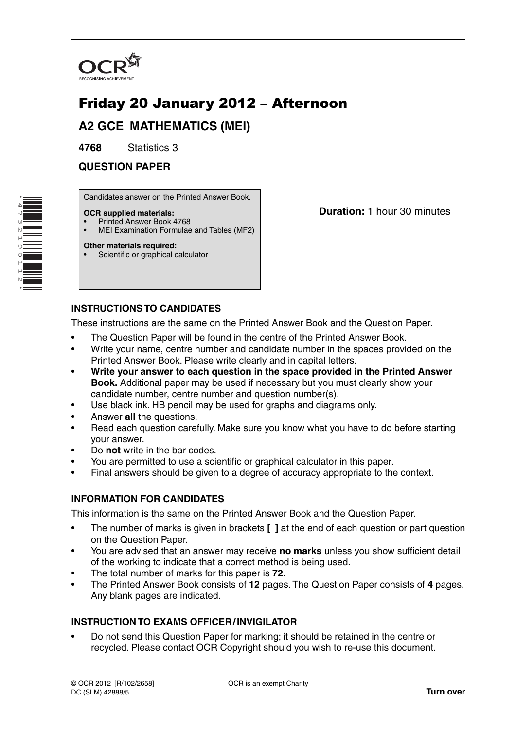

# Friday 20 January 2012 – Afternoon

**A2 GCE MATHEMATICS (MEI)**

**4768** Statistics 3

**QUESTION PAPER**

Candidates answer on the Printed Answer Book.

### **OCR supplied materials:**

- Printed Answer Book 4768
- MEI Examination Formulae and Tables (MF2)

### **Other materials required:**

Scientific or graphical calculator

**Duration:** 1 hour 30 minutes

# **INSTRUCTIONS TO CANDIDATES**

These instructions are the same on the Printed Answer Book and the Question Paper.

- The Question Paper will be found in the centre of the Printed Answer Book.
- Write your name, centre number and candidate number in the spaces provided on the Printed Answer Book. Please write clearly and in capital letters.
- **Write your answer to each question in the space provided in the Printed Answer Book.** Additional paper may be used if necessary but you must clearly show your candidate number, centre number and question number(s).
- Use black ink. HB pencil may be used for graphs and diagrams only.
- Answer **all** the questions.
- Read each question carefully. Make sure you know what you have to do before starting your answer.
- Do **not** write in the bar codes.
- You are permitted to use a scientific or graphical calculator in this paper.
- Final answers should be given to a degree of accuracy appropriate to the context.

# **INFORMATION FOR CANDIDATES**

This information is the same on the Printed Answer Book and the Question Paper.

- The number of marks is given in brackets **[ ]** at the end of each question or part question on the Question Paper.
- You are advised that an answer may receive **no marks** unless you show sufficient detail of the working to indicate that a correct method is being used.
- The total number of marks for this paper is **72**.
- The Printed Answer Book consists of **12** pages. The Question Paper consists of **4** pages. Any blank pages are indicated.

# **INSTRUCTION TO EXAMS OFFICER / INVIGILATOR**

• Do not send this Question Paper for marking; it should be retained in the centre or recycled. Please contact OCR Copyright should you wish to re-use this document.

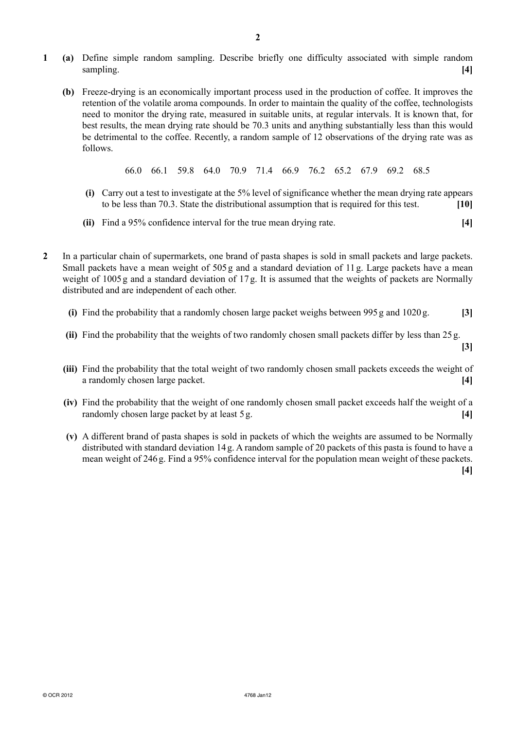- **1 (a)** Define simple random sampling. Describe briefly one difficulty associated with simple random sampling. **[4] [4]** 
	- **(b)** Freeze-drying is an economically important process used in the production of coffee. It improves the retention of the volatile aroma compounds. In order to maintain the quality of the coffee, technologists need to monitor the drying rate, measured in suitable units, at regular intervals. It is known that, for best results, the mean drying rate should be 70.3 units and anything substantially less than this would be detrimental to the coffee. Recently, a random sample of 12 observations of the drying rate was as follows.

66.0 66.1 59.8 64.0 70.9 71.4 66.9 76.2 65.2 67.9 69.2 68.5

- **(i)** Carry out a test to investigate at the 5% level of significance whether the mean drying rate appears to be less than 70.3. State the distributional assumption that is required for this test. **[10]**
- **(ii)** Find a 95% confidence interval for the true mean drying rate. **[4]**
- **2** In a particular chain of supermarkets, one brand of pasta shapes is sold in small packets and large packets. Small packets have a mean weight of 505 g and a standard deviation of 11 g. Large packets have a mean weight of 1005 g and a standard deviation of 17 g. It is assumed that the weights of packets are Normally distributed and are independent of each other.
	- **(i)** Find the probability that a randomly chosen large packet weighs between 995 g and 1020 g. **[3]**
	- **(ii)** Find the probability that the weights of two randomly chosen small packets differ by less than 25 g.

**[3]**

- **(iii)** Find the probability that the total weight of two randomly chosen small packets exceeds the weight of a randomly chosen large packet. **[4]**
- **(iv)** Find the probability that the weight of one randomly chosen small packet exceeds half the weight of a randomly chosen large packet by at least 5 g. **[4]**
- **(v)** A different brand of pasta shapes is sold in packets of which the weights are assumed to be Normally distributed with standard deviation 14 g. A random sample of 20 packets of this pasta is found to have a mean weight of 246 g. Find a 95% confidence interval for the population mean weight of these packets.

**[4]**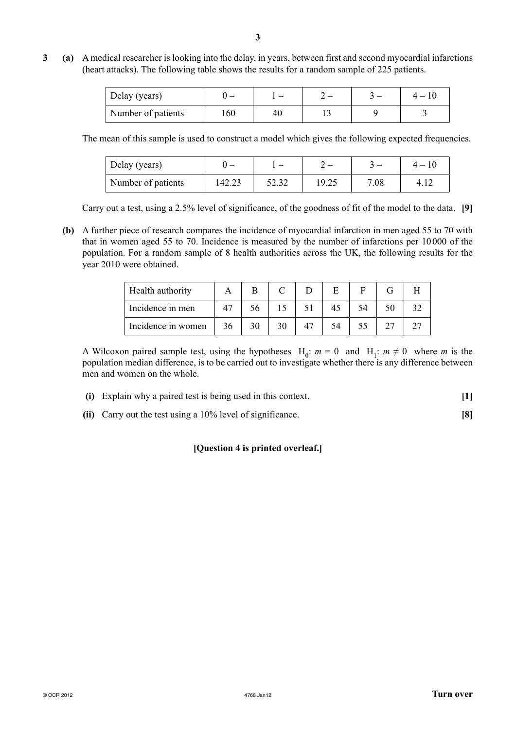**3 (a)** A medical researcher is looking into the delay, in years, between first and second myocardial infarctions (heart attacks). The following table shows the results for a random sample of 225 patients.

| Delay (years)      |     |    |  |  |  |
|--------------------|-----|----|--|--|--|
| Number of patients | 160 | 40 |  |  |  |

The mean of this sample is used to construct a model which gives the following expected frequencies.

| Delay (years)      |        |       |       |      |  |
|--------------------|--------|-------|-------|------|--|
| Number of patients | 142.23 | 52.32 | 19.25 | 7.08 |  |

Carry out a test, using a 2.5% level of significance, of the goodness of fit of the model to the data. **[9]**

 **(b)** A further piece of research compares the incidence of myocardial infarction in men aged 55 to 70 with that in women aged 55 to 70. Incidence is measured by the number of infarctions per 10 000 of the population. For a random sample of 8 health authorities across the UK, the following results for the year 2010 were obtained.

| Health authority   |    |    |    |  |  |
|--------------------|----|----|----|--|--|
| Incidence in men   |    |    |    |  |  |
| Incidence in women | 36 | 30 | 54 |  |  |

A Wilcoxon paired sample test, using the hypotheses  $H_0$ :  $m = 0$  and  $H_1$ :  $m \neq 0$  where *m* is the population median difference, is to be carried out to investigate whether there is any difference between men and women on the whole.

- **(i)** Explain why a paired test is being used in this context. **[1]**
- **(ii)** Carry out the test using a 10% level of significance. **[8]**

### **[Question 4 is printed overleaf.]**